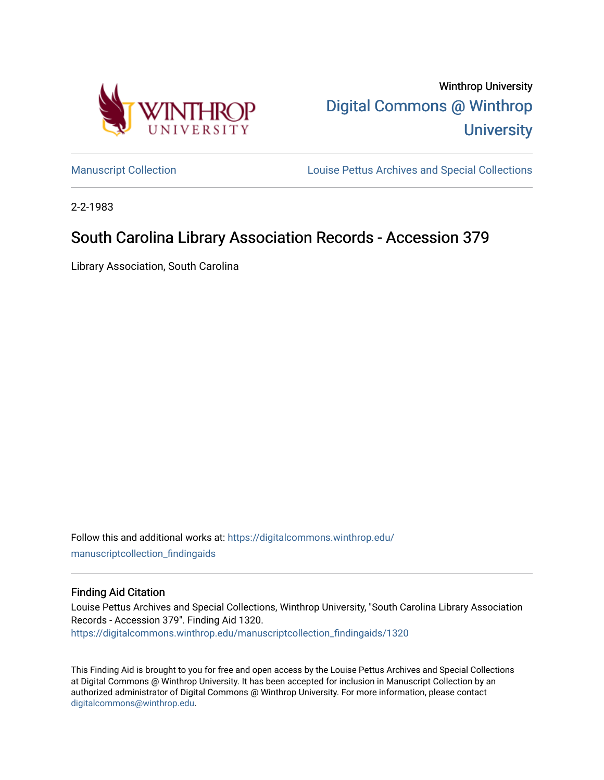

Winthrop University [Digital Commons @ Winthrop](https://digitalcommons.winthrop.edu/)  **University** 

[Manuscript Collection](https://digitalcommons.winthrop.edu/manuscriptcollection_findingaids) **Louise Pettus Archives and Special Collections** 

2-2-1983

# South Carolina Library Association Records - Accession 379

Library Association, South Carolina

Follow this and additional works at: [https://digitalcommons.winthrop.edu/](https://digitalcommons.winthrop.edu/manuscriptcollection_findingaids?utm_source=digitalcommons.winthrop.edu%2Fmanuscriptcollection_findingaids%2F1320&utm_medium=PDF&utm_campaign=PDFCoverPages) [manuscriptcollection\\_findingaids](https://digitalcommons.winthrop.edu/manuscriptcollection_findingaids?utm_source=digitalcommons.winthrop.edu%2Fmanuscriptcollection_findingaids%2F1320&utm_medium=PDF&utm_campaign=PDFCoverPages) 

#### Finding Aid Citation

Louise Pettus Archives and Special Collections, Winthrop University, "South Carolina Library Association Records - Accession 379". Finding Aid 1320. [https://digitalcommons.winthrop.edu/manuscriptcollection\\_findingaids/1320](https://digitalcommons.winthrop.edu/manuscriptcollection_findingaids/1320?utm_source=digitalcommons.winthrop.edu%2Fmanuscriptcollection_findingaids%2F1320&utm_medium=PDF&utm_campaign=PDFCoverPages) 

This Finding Aid is brought to you for free and open access by the Louise Pettus Archives and Special Collections at Digital Commons @ Winthrop University. It has been accepted for inclusion in Manuscript Collection by an authorized administrator of Digital Commons @ Winthrop University. For more information, please contact [digitalcommons@winthrop.edu](mailto:digitalcommons@winthrop.edu).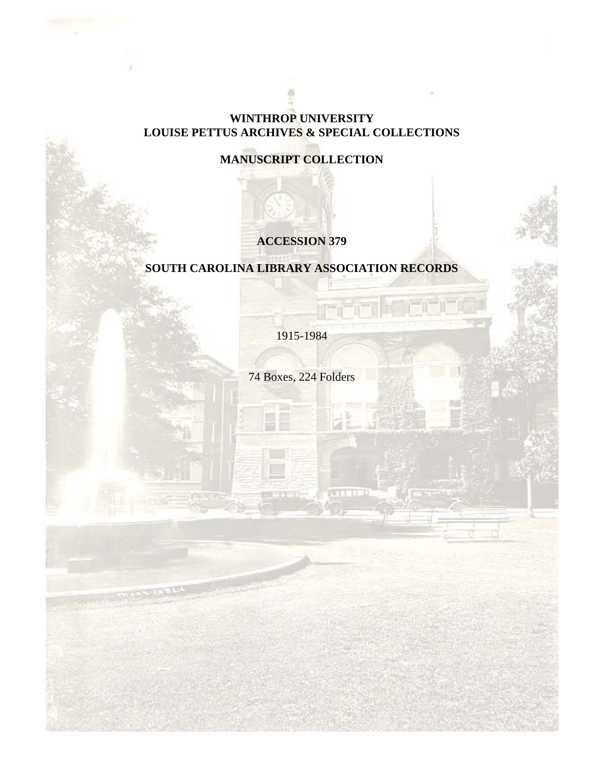## **WINTHROP UNIVERSITY LOUISE PETTUS ARCHIVES & SPECIAL COLLECTIONS**

# **MANUSCRIPT COLLECTION**

# **ACCESSION 379**

# **SOUTH CAROLINA LIBRARY ASSOCIATION RECORDS**

1915-1984

74 Boxes, 224 Folders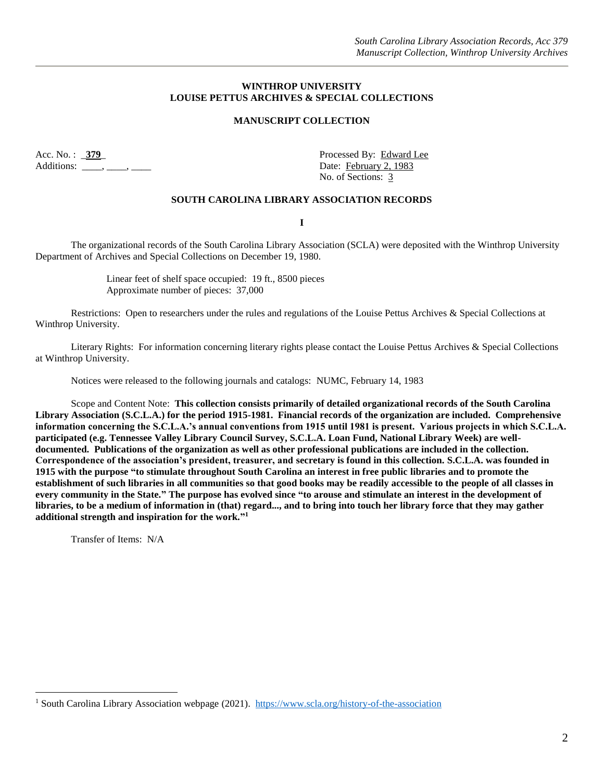#### **WINTHROP UNIVERSITY LOUISE PETTUS ARCHIVES & SPECIAL COLLECTIONS**

#### **MANUSCRIPT COLLECTION**

Acc. No. : \_379\_ Processed By: Edward Lee Additions:  $\qquad \qquad$ ,  $\qquad \qquad$ ,  $\qquad \qquad$  Date: February 2, 1983

No. of Sections: 3

#### **SOUTH CAROLINA LIBRARY ASSOCIATION RECORDS**

**I**

The organizational records of the South Carolina Library Association (SCLA) were deposited with the Winthrop University Department of Archives and Special Collections on December 19, 1980.

> Linear feet of shelf space occupied: 19 ft., 8500 pieces Approximate number of pieces: 37,000

Restrictions: Open to researchers under the rules and regulations of the Louise Pettus Archives & Special Collections at Winthrop University.

Literary Rights: For information concerning literary rights please contact the Louise Pettus Archives & Special Collections at Winthrop University.

Notices were released to the following journals and catalogs: NUMC, February 14, 1983

Scope and Content Note: **This collection consists primarily of detailed organizational records of the South Carolina Library Association (S.C.L.A.) for the period 1915-1981. Financial records of the organization are included. Comprehensive information concerning the S.C.L.A.'s annual conventions from 1915 until 1981 is present. Various projects in which S.C.L.A. participated (e.g. Tennessee Valley Library Council Survey, S.C.L.A. Loan Fund, National Library Week) are welldocumented. Publications of the organization as well as other professional publications are included in the collection. Correspondence of the association's president, treasurer, and secretary is found in this collection. S.C.L.A. was founded in 1915 with the purpose "to stimulate throughout South Carolina an interest in free public libraries and to promote the establishment of such libraries in all communities so that good books may be readily accessible to the people of all classes in every community in the State." The purpose has evolved since "to arouse and stimulate an interest in the development of libraries, to be a medium of information in (that) regard..., and to bring into touch her library force that they may gather additional strength and inspiration for the work." 1**

Transfer of Items: N/A

 $\overline{a}$ 

<sup>&</sup>lt;sup>1</sup> South Carolina Library Association webpage (2021). <https://www.scla.org/history-of-the-association>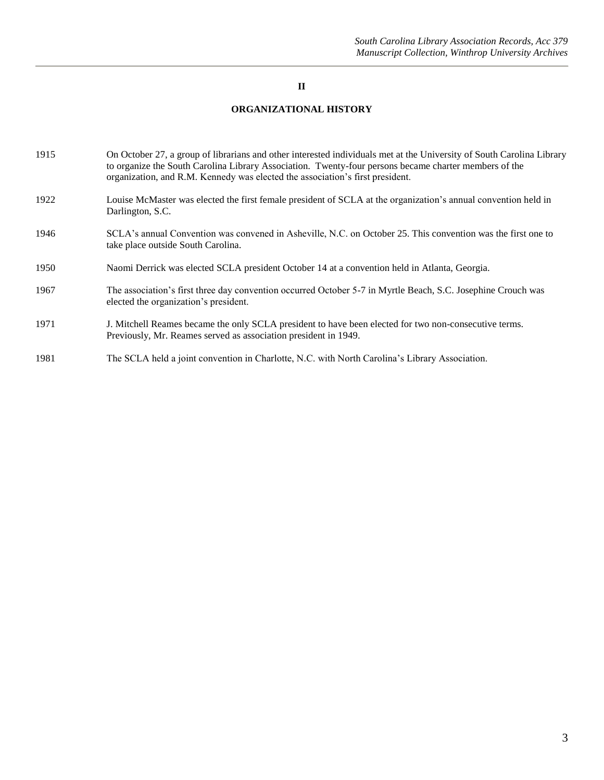#### **II**

### **ORGANIZATIONAL HISTORY**

| 1915 | On October 27, a group of librarians and other interested individuals met at the University of South Carolina Library<br>to organize the South Carolina Library Association. Twenty-four persons became charter members of the<br>organization, and R.M. Kennedy was elected the association's first president. |
|------|-----------------------------------------------------------------------------------------------------------------------------------------------------------------------------------------------------------------------------------------------------------------------------------------------------------------|
| 1922 | Louise McMaster was elected the first female president of SCLA at the organization's annual convention held in<br>Darlington, S.C.                                                                                                                                                                              |
| 1946 | SCLA's annual Convention was convened in Asheville, N.C. on October 25. This convention was the first one to<br>take place outside South Carolina.                                                                                                                                                              |
| 1950 | Naomi Derrick was elected SCLA president October 14 at a convention held in Atlanta, Georgia.                                                                                                                                                                                                                   |
| 1967 | The association's first three day convention occurred October 5-7 in Myrtle Beach, S.C. Josephine Crouch was<br>elected the organization's president.                                                                                                                                                           |
| 1971 | J. Mitchell Reames became the only SCLA president to have been elected for two non-consecutive terms.<br>Previously, Mr. Reames served as association president in 1949.                                                                                                                                        |
| 1981 | The SCLA held a joint convention in Charlotte, N.C. with North Carolina's Library Association.                                                                                                                                                                                                                  |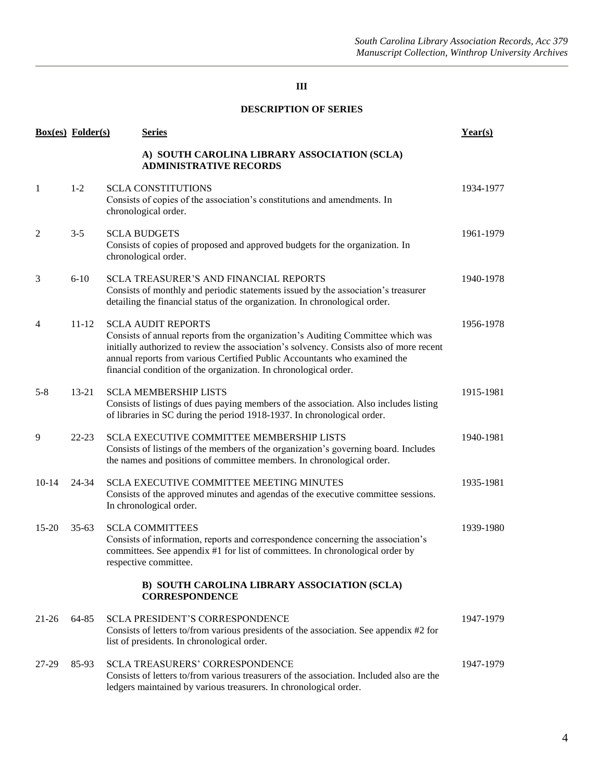### **DESCRIPTION OF SERIES**

|           | <b>Box(es)</b> Folder(s) | <b>Series</b>                                                                                                                                                                                                                                                                                                                                            | Year(s)   |
|-----------|--------------------------|----------------------------------------------------------------------------------------------------------------------------------------------------------------------------------------------------------------------------------------------------------------------------------------------------------------------------------------------------------|-----------|
|           |                          | A) SOUTH CAROLINA LIBRARY ASSOCIATION (SCLA)<br><b>ADMINISTRATIVE RECORDS</b>                                                                                                                                                                                                                                                                            |           |
| 1         | $1 - 2$                  | <b>SCLA CONSTITUTIONS</b><br>Consists of copies of the association's constitutions and amendments. In<br>chronological order.                                                                                                                                                                                                                            | 1934-1977 |
| 2         | $3 - 5$                  | <b>SCLA BUDGETS</b><br>Consists of copies of proposed and approved budgets for the organization. In<br>chronological order.                                                                                                                                                                                                                              | 1961-1979 |
| 3         | $6 - 10$                 | <b>SCLA TREASURER'S AND FINANCIAL REPORTS</b><br>Consists of monthly and periodic statements issued by the association's treasurer<br>detailing the financial status of the organization. In chronological order.                                                                                                                                        | 1940-1978 |
| 4         | $11 - 12$                | <b>SCLA AUDIT REPORTS</b><br>Consists of annual reports from the organization's Auditing Committee which was<br>initially authorized to review the association's solvency. Consists also of more recent<br>annual reports from various Certified Public Accountants who examined the<br>financial condition of the organization. In chronological order. | 1956-1978 |
| $5 - 8$   | $13 - 21$                | <b>SCLA MEMBERSHIP LISTS</b><br>Consists of listings of dues paying members of the association. Also includes listing<br>of libraries in SC during the period 1918-1937. In chronological order.                                                                                                                                                         | 1915-1981 |
| 9         | $22 - 23$                | <b>SCLA EXECUTIVE COMMITTEE MEMBERSHIP LISTS</b><br>Consists of listings of the members of the organization's governing board. Includes<br>the names and positions of committee members. In chronological order.                                                                                                                                         | 1940-1981 |
| $10 - 14$ | 24-34                    | <b>SCLA EXECUTIVE COMMITTEE MEETING MINUTES</b><br>Consists of the approved minutes and agendas of the executive committee sessions.<br>In chronological order.                                                                                                                                                                                          | 1935-1981 |
| $15 - 20$ | $35-63$                  | <b>SCLA COMMITTEES</b><br>Consists of information, reports and correspondence concerning the association's<br>committees. See appendix #1 for list of committees. In chronological order by<br>respective committee.                                                                                                                                     | 1939-1980 |
|           |                          | B) SOUTH CAROLINA LIBRARY ASSOCIATION (SCLA)<br><b>CORRESPONDENCE</b>                                                                                                                                                                                                                                                                                    |           |
| $21 - 26$ | 64-85                    | SCLA PRESIDENT'S CORRESPONDENCE<br>Consists of letters to/from various presidents of the association. See appendix #2 for<br>list of presidents. In chronological order.                                                                                                                                                                                 | 1947-1979 |
| 27-29     | 85-93                    | <b>SCLA TREASURERS' CORRESPONDENCE</b><br>Consists of letters to/from various treasurers of the association. Included also are the<br>ledgers maintained by various treasurers. In chronological order.                                                                                                                                                  | 1947-1979 |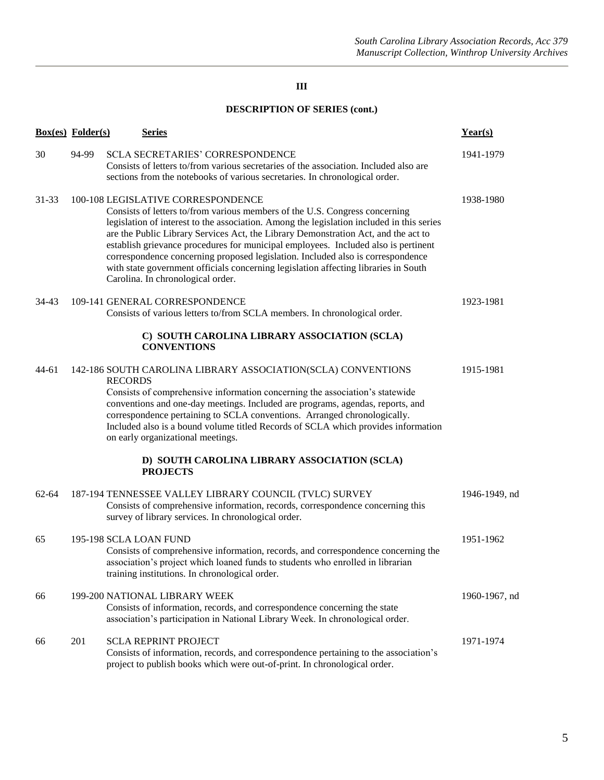## **DESCRIPTION OF SERIES (cont.)**

|           | <b>Box(es)</b> Folder(s) | <u>Series</u>                                                                                                                                                                                                                                                                                                                                                                                                                                                                                                                                                                                             | Year(s)       |
|-----------|--------------------------|-----------------------------------------------------------------------------------------------------------------------------------------------------------------------------------------------------------------------------------------------------------------------------------------------------------------------------------------------------------------------------------------------------------------------------------------------------------------------------------------------------------------------------------------------------------------------------------------------------------|---------------|
| 30        | 94-99                    | SCLA SECRETARIES' CORRESPONDENCE<br>Consists of letters to/from various secretaries of the association. Included also are<br>sections from the notebooks of various secretaries. In chronological order.                                                                                                                                                                                                                                                                                                                                                                                                  | 1941-1979     |
| $31 - 33$ |                          | 100-108 LEGISLATIVE CORRESPONDENCE<br>Consists of letters to/from various members of the U.S. Congress concerning<br>legislation of interest to the association. Among the legislation included in this series<br>are the Public Library Services Act, the Library Demonstration Act, and the act to<br>establish grievance procedures for municipal employees. Included also is pertinent<br>correspondence concerning proposed legislation. Included also is correspondence<br>with state government officials concerning legislation affecting libraries in South<br>Carolina. In chronological order. | 1938-1980     |
| 34-43     |                          | 109-141 GENERAL CORRESPONDENCE<br>Consists of various letters to/from SCLA members. In chronological order.                                                                                                                                                                                                                                                                                                                                                                                                                                                                                               | 1923-1981     |
|           |                          | C) SOUTH CAROLINA LIBRARY ASSOCIATION (SCLA)<br><b>CONVENTIONS</b>                                                                                                                                                                                                                                                                                                                                                                                                                                                                                                                                        |               |
| 44-61     |                          | 142-186 SOUTH CAROLINA LIBRARY ASSOCIATION(SCLA) CONVENTIONS<br><b>RECORDS</b><br>Consists of comprehensive information concerning the association's statewide<br>conventions and one-day meetings. Included are programs, agendas, reports, and<br>correspondence pertaining to SCLA conventions. Arranged chronologically.<br>Included also is a bound volume titled Records of SCLA which provides information<br>on early organizational meetings.                                                                                                                                                    | 1915-1981     |
|           |                          | D) SOUTH CAROLINA LIBRARY ASSOCIATION (SCLA)<br><b>PROJECTS</b>                                                                                                                                                                                                                                                                                                                                                                                                                                                                                                                                           |               |
| $62 - 64$ |                          | 187-194 TENNESSEE VALLEY LIBRARY COUNCIL (TVLC) SURVEY<br>Consists of comprehensive information, records, correspondence concerning this<br>survey of library services. In chronological order.                                                                                                                                                                                                                                                                                                                                                                                                           | 1946-1949, nd |
| 65        |                          | 195-198 SCLA LOAN FUND<br>Consists of comprehensive information, records, and correspondence concerning the<br>association's project which loaned funds to students who enrolled in librarian<br>training institutions. In chronological order.                                                                                                                                                                                                                                                                                                                                                           | 1951-1962     |
| 66        |                          | 199-200 NATIONAL LIBRARY WEEK<br>Consists of information, records, and correspondence concerning the state<br>association's participation in National Library Week. In chronological order.                                                                                                                                                                                                                                                                                                                                                                                                               | 1960-1967, nd |
| 66        | 201                      | <b>SCLA REPRINT PROJECT</b><br>Consists of information, records, and correspondence pertaining to the association's<br>project to publish books which were out-of-print. In chronological order.                                                                                                                                                                                                                                                                                                                                                                                                          | 1971-1974     |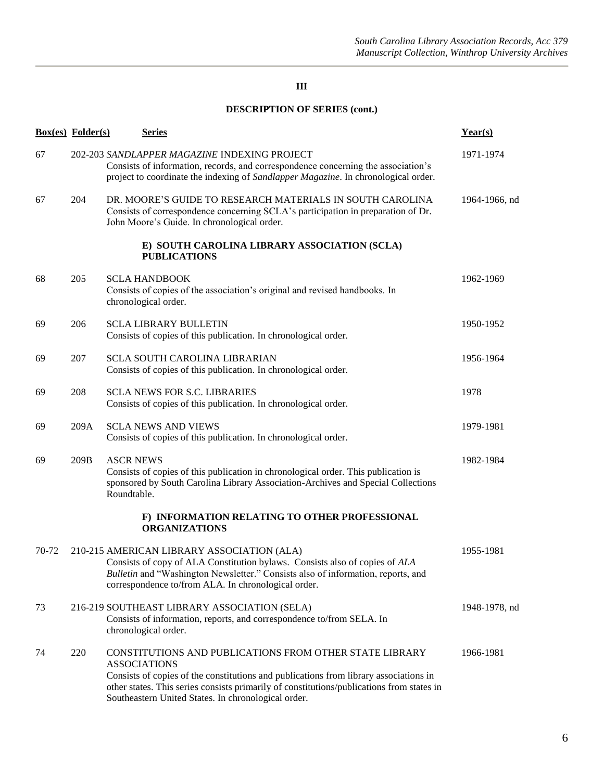## **DESCRIPTION OF SERIES (cont.)**

|       | <b>Box(es)</b> Folder(s) | <b>Series</b>                                                                                                                                                                                                                                                                                                               | Year(s)       |
|-------|--------------------------|-----------------------------------------------------------------------------------------------------------------------------------------------------------------------------------------------------------------------------------------------------------------------------------------------------------------------------|---------------|
| 67    |                          | 202-203 SANDLAPPER MAGAZINE INDEXING PROJECT<br>Consists of information, records, and correspondence concerning the association's<br>project to coordinate the indexing of Sandlapper Magazine. In chronological order.                                                                                                     | 1971-1974     |
| 67    | 204                      | DR. MOORE'S GUIDE TO RESEARCH MATERIALS IN SOUTH CAROLINA<br>Consists of correspondence concerning SCLA's participation in preparation of Dr.<br>John Moore's Guide. In chronological order.                                                                                                                                | 1964-1966, nd |
|       |                          | E) SOUTH CAROLINA LIBRARY ASSOCIATION (SCLA)<br><b>PUBLICATIONS</b>                                                                                                                                                                                                                                                         |               |
| 68    | 205                      | <b>SCLA HANDBOOK</b><br>Consists of copies of the association's original and revised handbooks. In<br>chronological order.                                                                                                                                                                                                  | 1962-1969     |
| 69    | 206                      | <b>SCLA LIBRARY BULLETIN</b><br>Consists of copies of this publication. In chronological order.                                                                                                                                                                                                                             | 1950-1952     |
| 69    | 207                      | <b>SCLA SOUTH CAROLINA LIBRARIAN</b><br>Consists of copies of this publication. In chronological order.                                                                                                                                                                                                                     | 1956-1964     |
| 69    | 208                      | <b>SCLA NEWS FOR S.C. LIBRARIES</b><br>Consists of copies of this publication. In chronological order.                                                                                                                                                                                                                      | 1978          |
| 69    | 209A                     | <b>SCLA NEWS AND VIEWS</b><br>Consists of copies of this publication. In chronological order.                                                                                                                                                                                                                               | 1979-1981     |
| 69    | 209B                     | <b>ASCR NEWS</b><br>Consists of copies of this publication in chronological order. This publication is<br>sponsored by South Carolina Library Association-Archives and Special Collections<br>Roundtable.                                                                                                                   | 1982-1984     |
|       |                          | F) INFORMATION RELATING TO OTHER PROFESSIONAL<br><b>ORGANIZATIONS</b>                                                                                                                                                                                                                                                       |               |
| 70-72 |                          | 210-215 AMERICAN LIBRARY ASSOCIATION (ALA)<br>Consists of copy of ALA Constitution bylaws. Consists also of copies of ALA<br>Bulletin and "Washington Newsletter." Consists also of information, reports, and<br>correspondence to/from ALA. In chronological order.                                                        | 1955-1981     |
| 73    |                          | 216-219 SOUTHEAST LIBRARY ASSOCIATION (SELA)<br>Consists of information, reports, and correspondence to/from SELA. In<br>chronological order.                                                                                                                                                                               | 1948-1978, nd |
| 74    | 220                      | CONSTITUTIONS AND PUBLICATIONS FROM OTHER STATE LIBRARY<br><b>ASSOCIATIONS</b><br>Consists of copies of the constitutions and publications from library associations in<br>other states. This series consists primarily of constitutions/publications from states in<br>Southeastern United States. In chronological order. | 1966-1981     |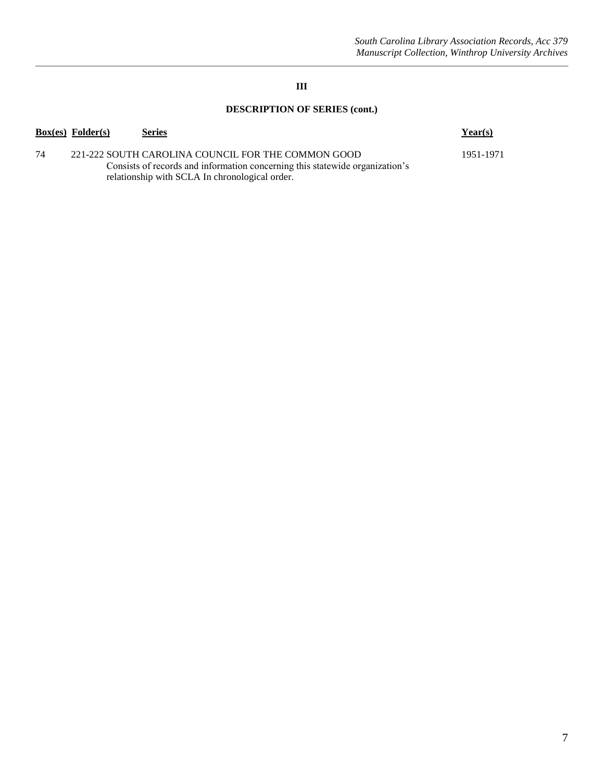## **DESCRIPTION OF SERIES (cont.)**

|    | <b>Box(es)</b> Folder(s) | <u>Series</u>                                                                                                                                                                        | Year(s)   |
|----|--------------------------|--------------------------------------------------------------------------------------------------------------------------------------------------------------------------------------|-----------|
| 74 |                          | 221-222 SOUTH CAROLINA COUNCIL FOR THE COMMON GOOD<br>Consists of records and information concerning this statewide organization's<br>relationship with SCLA In chronological order. | 1951-1971 |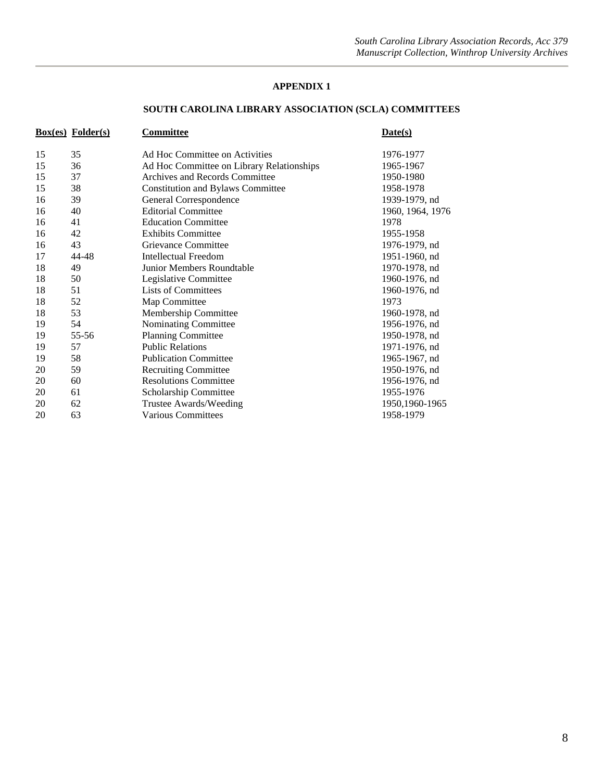#### **APPENDIX 1**

### **SOUTH CAROLINA LIBRARY ASSOCIATION (SCLA) COMMITTEES**

|    | $Box(es)$ Folder $(s)$ | Committee                                 | Date(s)          |
|----|------------------------|-------------------------------------------|------------------|
| 15 | 35                     | Ad Hoc Committee on Activities            | 1976-1977        |
| 15 | 36                     | Ad Hoc Committee on Library Relationships | 1965-1967        |
| 15 | 37                     | Archives and Records Committee            | 1950-1980        |
| 15 | 38                     | <b>Constitution and Bylaws Committee</b>  | 1958-1978        |
| 16 | 39                     | General Correspondence                    | 1939-1979, nd    |
| 16 | 40                     | <b>Editorial Committee</b>                | 1960, 1964, 1976 |
| 16 | 41                     | <b>Education Committee</b>                | 1978             |
| 16 | 42                     | <b>Exhibits Committee</b>                 | 1955-1958        |
| 16 | 43                     | Grievance Committee                       | 1976-1979, nd    |
| 17 | 44-48                  | Intellectual Freedom                      | 1951-1960, nd    |
| 18 | 49                     | Junior Members Roundtable                 | 1970-1978, nd    |
| 18 | 50                     | Legislative Committee                     | 1960-1976, nd    |
| 18 | 51                     | <b>Lists of Committees</b>                | 1960-1976, nd    |
| 18 | 52                     | Map Committee                             | 1973             |
| 18 | 53                     | Membership Committee                      | 1960-1978, nd    |
| 19 | 54                     | Nominating Committee                      | 1956-1976, nd    |
| 19 | 55-56                  | <b>Planning Committee</b>                 | 1950-1978, nd    |
| 19 | 57                     | <b>Public Relations</b>                   | 1971-1976, nd    |
| 19 | 58                     | <b>Publication Committee</b>              | 1965-1967, nd    |
| 20 | 59                     | <b>Recruiting Committee</b>               | 1950-1976, nd    |
| 20 | 60                     | <b>Resolutions Committee</b>              | 1956-1976, nd    |
| 20 | 61                     | Scholarship Committee                     | 1955-1976        |
| 20 | 62                     | Trustee Awards/Weeding                    | 1950,1960-1965   |
| 20 | 63                     | <b>Various Committees</b>                 | 1958-1979        |